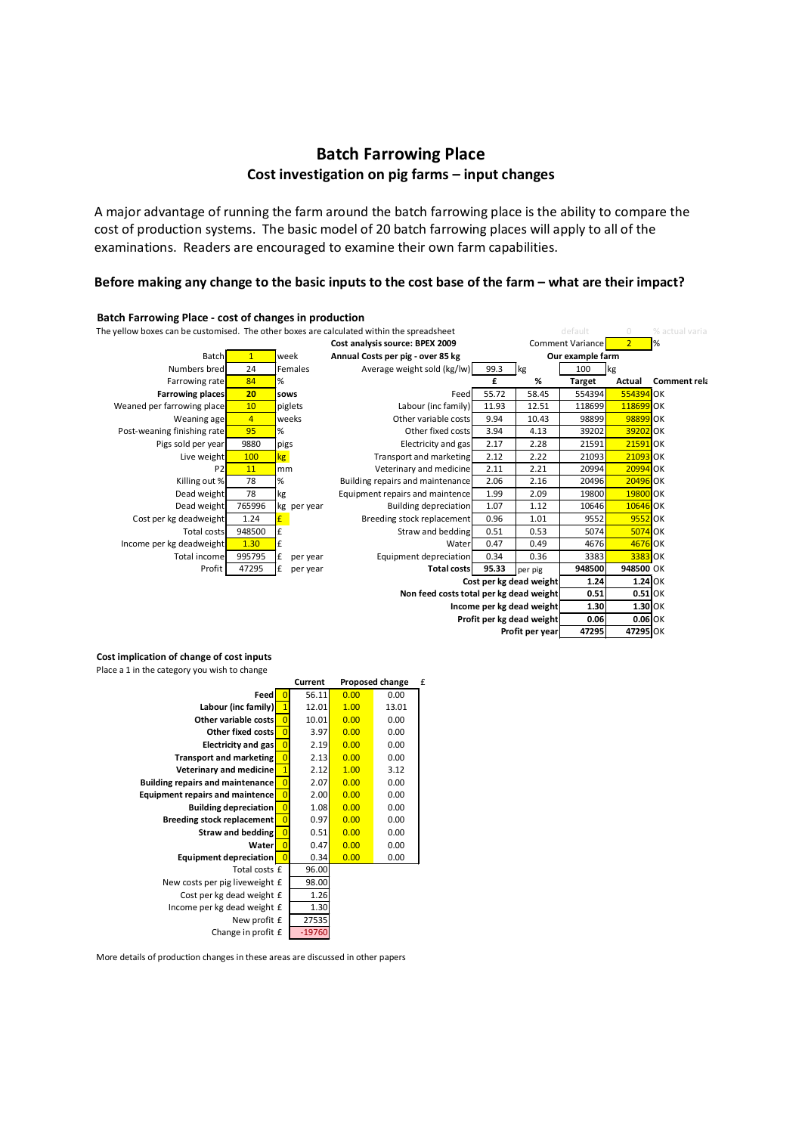## **Batch Farrowing Place Cost investigation on pig farms – input changes**

A major advantage of running the farm around the batch farrowing place is the ability to compare the cost of production systems. The basic model of 20 batch farrowing places will apply to all of the examinations. Readers are encouraged to examine their own farm capabilities.

## Before making any change to the basic inputs to the cost base of the farm – what are their impact?



## **Cost implication of change of cost inputs**

Place a 1 in the category you wish to change

|                                         |                | Current  | Proposed change |       | f |
|-----------------------------------------|----------------|----------|-----------------|-------|---|
| Feed                                    | 0              | 56.11    | 0.00            | 0.00  |   |
| Labour (inc family)                     | $\mathbf{1}$   | 12.01    | 1.00            | 13.01 |   |
| Other variable costs                    | $\overline{0}$ | 10.01    | 0.00            | 0.00  |   |
| Other fixed costs                       | $\overline{0}$ | 3.97     | 0.00            | 0.00  |   |
| Electricity and gas                     | $\overline{0}$ | 2.19     | 0.00            | 0.00  |   |
| <b>Transport and marketing</b>          | $\overline{0}$ | 2.13     | 0.00            | 0.00  |   |
| <b>Veterinary and medicine</b>          | $\mathbf{1}$   | 2.12     | 1.00            | 3.12  |   |
| <b>Building repairs and maintenance</b> | $\overline{0}$ | 2.07     | 0.00            | 0.00  |   |
| Equipment repairs and maintence         | $\overline{0}$ | 2.00     | 0.00            | 0.00  |   |
| <b>Building depreciation</b>            | $\overline{0}$ | 1.08     | 0.00            | 0.00  |   |
| <b>Breeding stock replacement</b>       | $\overline{0}$ | 0.97     | 0.00            | 0.00  |   |
| Straw and bedding                       | $\overline{0}$ | 0.51     | 0.00            | 0.00  |   |
| Waterl                                  | $\overline{0}$ | 0.47     | 0.00            | 0.00  |   |
| Equipment depreciation                  | $\overline{0}$ | 0.34     | 0.00            | 0.00  |   |
| Total costs £                           |                | 96.00    |                 |       |   |
| New costs per pig liveweight £          |                | 98.00    |                 |       |   |
| Cost per kg dead weight £               |                | 1.26     |                 |       |   |
| Income per kg dead weight £             |                | 1.30     |                 |       |   |
| New profit £                            |                | 27535    |                 |       |   |
| Change in profit £                      |                | $-19760$ |                 |       |   |

More details of production changes in these areas are discussed in other papers